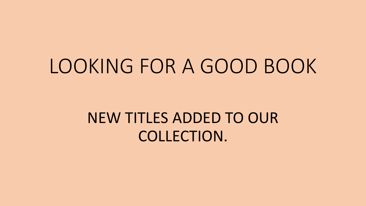## LOOKING FOR A GOOD BOOK

#### NEW TITLES ADDED TO OUR COLLECTION.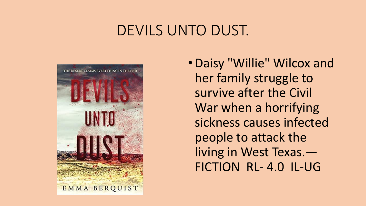#### DEVILS UNTO DUST.



•Daisy "Willie" Wilcox and her family struggle to survive after the Civil War when a horrifying sickness causes infected people to attack the living in West Texas.— FICTION RL- 4.0 IL-UG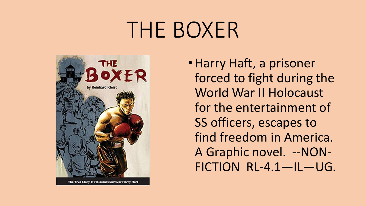# THE BOXER



The True Story of Holocaust Survivor Harry Haft

•Harry Haft, a prisoner forced to fight during the World War II Holocaust for the entertainment of SS officers, escapes to find freedom in America. A Graphic novel. --NON-FICTION RL-4.1—IL—UG.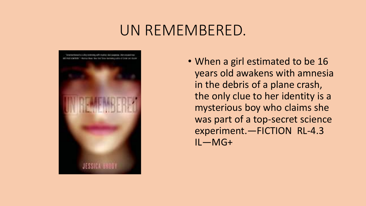#### UN REMEMBERED.



• When a girl estimated to be 16 years old awakens with amnesia in the debris of a plane crash, the only clue to her identity is a mysterious boy who claims she was part of a top-secret science experiment.—FICTION RL-4.3 IL—MG+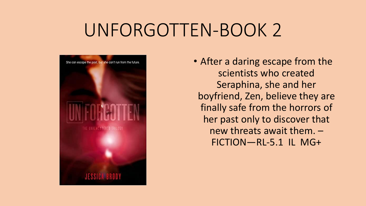### UNFORGOTTEN-BOOK 2



• After a daring escape from the scientists who created Seraphina, she and her boyfriend, Zen, believe they are finally safe from the horrors of her past only to discover that new threats await them. – FICTION—RL-5.1 IL MG+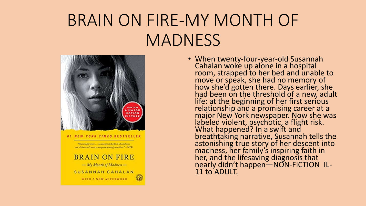### BRAIN ON FIRE-MY MONTH OF **MADNESS**



SUSANNAH CAHALAN WITH A NEW AFTERWORD.

Cahalan woke up alone in a hospital room, strapped to her bed and unable to move or speak, she had no memory of how she'd gotten there. Days earlier, she had been on the threshold of a new, adult life: at the beginning of her first serious relationship and a promising career at a major New York newspaper. Now she was labeled violent, psychotic, a flight risk. What happened? In a swift and breathtaking narrative, Susannah tells the astonishing true story of her descent into madness, her family's inspiring faith in her, and the lifesaving diagnosis that nearly didn't happen—NON-FICTION IL-11 to ADULT.

• When twenty-four-year-old Susannah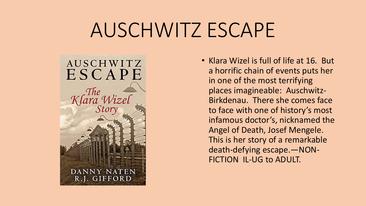## AUSCHWITZ ESCAPE



• Klara Wizel is full of life at 16. But a horrific chain of events puts her in one of the most terrifying places imagineable: Auschwitz-Birkdenau. There she comes face to face with one of history's most infamous doctor's, nicknamed the Angel of Death, Josef Mengele. This is her story of a remarkable death-defying escape.—NON-FICTION IL-UG to ADULT.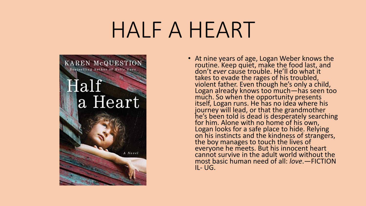# HALF A HEART



• At nine years of age, Logan Weber knows the routine. Keep quiet, make the food last, and don't *ever* cause trouble. He'll do what it takes to evade the rages of his troubled, violent father. Even though he's only a child, Logan already knows too much—has seen too much. So when the opportunity presents itself, Logan runs. He has no idea where his journey will lead, or that the grandmother he's been told is dead is desperately searching for him. Alone with no home of his own, Logan looks for a safe place to hide. Relying on his instincts and the kindness of strangers, the boy manages to touch the lives of everyone he meets. But his innocent heart cannot survive in the adult world without the most basic human need of all: *love*.—FICTION IL- UG.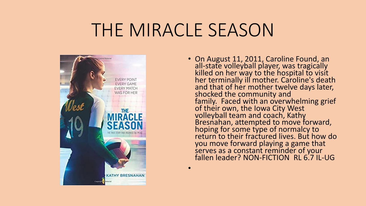### THE MIRACLE SEASON

•



• On August 11, 2011, Caroline Found, an all-state volleyball player, was tragically killed on her way to the hospital to visit her terminally ill mother. Caroline's death and that of her mother twelve days later, shocked the community and family. Faced with an overwhelming grief of their own, the Iowa City West volleyball team and coach, Kathy Bresnahan, attempted to move forward, hoping for some type of normalcy to return to their fractured lives. But how do you move forward playing a game that serves as a constant reminder of your fallen leader? NON-FICTION RL 6.7 IL-UG